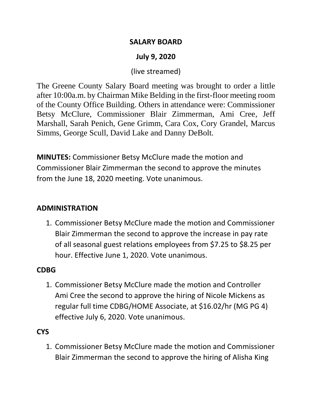### **SALARY BOARD**

# **July 9, 2020**

## (live streamed)

The Greene County Salary Board meeting was brought to order a little after 10:00a.m. by Chairman Mike Belding in the first-floor meeting room of the County Office Building. Others in attendance were: Commissioner Betsy McClure, Commissioner Blair Zimmerman, Ami Cree, Jeff Marshall, Sarah Penich, Gene Grimm, Cara Cox, Cory Grandel, Marcus Simms, George Scull, David Lake and Danny DeBolt.

**MINUTES:** Commissioner Betsy McClure made the motion and Commissioner Blair Zimmerman the second to approve the minutes from the June 18, 2020 meeting. Vote unanimous.

### **ADMINISTRATION**

1. Commissioner Betsy McClure made the motion and Commissioner Blair Zimmerman the second to approve the increase in pay rate of all seasonal guest relations employees from \$7.25 to \$8.25 per hour. Effective June 1, 2020. Vote unanimous.

#### **CDBG**

1. Commissioner Betsy McClure made the motion and Controller Ami Cree the second to approve the hiring of Nicole Mickens as regular full time CDBG/HOME Associate, at \$16.02/hr (MG PG 4) effective July 6, 2020. Vote unanimous.

### **CYS**

1. Commissioner Betsy McClure made the motion and Commissioner Blair Zimmerman the second to approve the hiring of Alisha King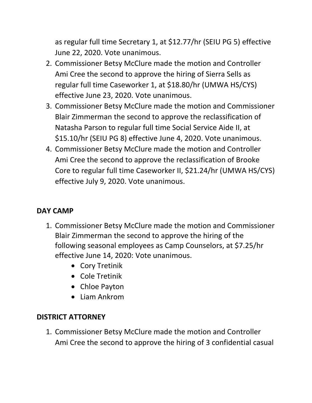as regular full time Secretary 1, at \$12.77/hr (SEIU PG 5) effective June 22, 2020. Vote unanimous.

- 2. Commissioner Betsy McClure made the motion and Controller Ami Cree the second to approve the hiring of Sierra Sells as regular full time Caseworker 1, at \$18.80/hr (UMWA HS/CYS) effective June 23, 2020. Vote unanimous.
- 3. Commissioner Betsy McClure made the motion and Commissioner Blair Zimmerman the second to approve the reclassification of Natasha Parson to regular full time Social Service Aide II, at \$15.10/hr (SEIU PG 8) effective June 4, 2020. Vote unanimous.
- 4. Commissioner Betsy McClure made the motion and Controller Ami Cree the second to approve the reclassification of Brooke Core to regular full time Caseworker II, \$21.24/hr (UMWA HS/CYS) effective July 9, 2020. Vote unanimous.

# **DAY CAMP**

- 1. Commissioner Betsy McClure made the motion and Commissioner Blair Zimmerman the second to approve the hiring of the following seasonal employees as Camp Counselors, at \$7.25/hr effective June 14, 2020: Vote unanimous.
	- Cory Tretinik
	- Cole Tretinik
	- Chloe Payton
	- Liam Ankrom

# **DISTRICT ATTORNEY**

1. Commissioner Betsy McClure made the motion and Controller Ami Cree the second to approve the hiring of 3 confidential casual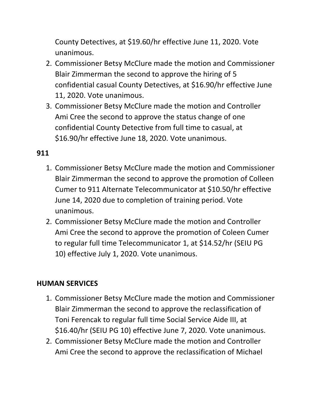County Detectives, at \$19.60/hr effective June 11, 2020. Vote unanimous.

- 2. Commissioner Betsy McClure made the motion and Commissioner Blair Zimmerman the second to approve the hiring of 5 confidential casual County Detectives, at \$16.90/hr effective June 11, 2020. Vote unanimous.
- 3. Commissioner Betsy McClure made the motion and Controller Ami Cree the second to approve the status change of one confidential County Detective from full time to casual, at \$16.90/hr effective June 18, 2020. Vote unanimous.

# **911**

- 1. Commissioner Betsy McClure made the motion and Commissioner Blair Zimmerman the second to approve the promotion of Colleen Cumer to 911 Alternate Telecommunicator at \$10.50/hr effective June 14, 2020 due to completion of training period. Vote unanimous.
- 2. Commissioner Betsy McClure made the motion and Controller Ami Cree the second to approve the promotion of Coleen Cumer to regular full time Telecommunicator 1, at \$14.52/hr (SEIU PG 10) effective July 1, 2020. Vote unanimous.

# **HUMAN SERVICES**

- 1. Commissioner Betsy McClure made the motion and Commissioner Blair Zimmerman the second to approve the reclassification of Toni Ferencak to regular full time Social Service Aide III, at \$16.40/hr (SEIU PG 10) effective June 7, 2020. Vote unanimous.
- 2. Commissioner Betsy McClure made the motion and Controller Ami Cree the second to approve the reclassification of Michael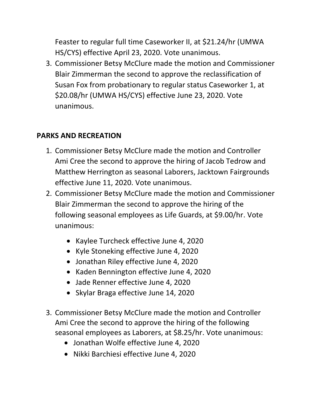Feaster to regular full time Caseworker II, at \$21.24/hr (UMWA HS/CYS) effective April 23, 2020. Vote unanimous.

3. Commissioner Betsy McClure made the motion and Commissioner Blair Zimmerman the second to approve the reclassification of Susan Fox from probationary to regular status Caseworker 1, at \$20.08/hr (UMWA HS/CYS) effective June 23, 2020. Vote unanimous.

### **PARKS AND RECREATION**

- 1. Commissioner Betsy McClure made the motion and Controller Ami Cree the second to approve the hiring of Jacob Tedrow and Matthew Herrington as seasonal Laborers, Jacktown Fairgrounds effective June 11, 2020. Vote unanimous.
- 2. Commissioner Betsy McClure made the motion and Commissioner Blair Zimmerman the second to approve the hiring of the following seasonal employees as Life Guards, at \$9.00/hr. Vote unanimous:
	- Kaylee Turcheck effective June 4, 2020
	- Kyle Stoneking effective June 4, 2020
	- Jonathan Riley effective June 4, 2020
	- Kaden Bennington effective June 4, 2020
	- Jade Renner effective June 4, 2020
	- Skylar Braga effective June 14, 2020
- 3. Commissioner Betsy McClure made the motion and Controller Ami Cree the second to approve the hiring of the following seasonal employees as Laborers, at \$8.25/hr. Vote unanimous:
	- Jonathan Wolfe effective June 4, 2020
	- Nikki Barchiesi effective June 4, 2020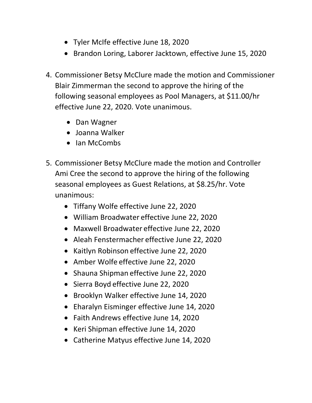- Tyler McIfe effective June 18, 2020
- Brandon Loring, Laborer Jacktown, effective June 15, 2020
- 4. Commissioner Betsy McClure made the motion and Commissioner Blair Zimmerman the second to approve the hiring of the following seasonal employees as Pool Managers, at \$11.00/hr effective June 22, 2020. Vote unanimous.
	- Dan Wagner
	- Joanna Walker
	- Ian McCombs
- 5. Commissioner Betsy McClure made the motion and Controller Ami Cree the second to approve the hiring of the following seasonal employees as Guest Relations, at \$8.25/hr. Vote unanimous:
	- Tiffany Wolfe effective June 22, 2020
	- William Broadwater effective June 22, 2020
	- Maxwell Broadwater effective June 22, 2020
	- Aleah Fenstermacher effective June 22, 2020
	- Kaitlyn Robinson effective June 22, 2020
	- Amber Wolfe effective June 22, 2020
	- Shauna Shipman effective June 22, 2020
	- Sierra Boyd effective June 22, 2020
	- Brooklyn Walker effective June 14, 2020
	- Eharalyn Eisminger effective June 14, 2020
	- Faith Andrews effective June 14, 2020
	- Keri Shipman effective June 14, 2020
	- Catherine Matyus effective June 14, 2020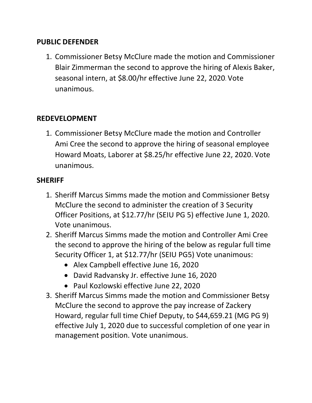### **PUBLIC DEFENDER**

1. Commissioner Betsy McClure made the motion and Commissioner Blair Zimmerman the second to approve the hiring of Alexis Baker, seasonal intern, at \$8.00/hr effective June 22, 2020. Vote unanimous.

### **REDEVELOPMENT**

1. Commissioner Betsy McClure made the motion and Controller Ami Cree the second to approve the hiring of seasonal employee Howard Moats, Laborer at \$8.25/hr effective June 22, 2020. Vote unanimous.

#### **SHERIFF**

- 1. Sheriff Marcus Simms made the motion and Commissioner Betsy McClure the second to administer the creation of 3 Security Officer Positions, at \$12.77/hr (SEIU PG 5) effective June 1, 2020. Vote unanimous.
- 2. Sheriff Marcus Simms made the motion and Controller Ami Cree the second to approve the hiring of the below as regular full time Security Officer 1, at \$12.77/hr (SEIU PG5) Vote unanimous:
	- Alex Campbell effective June 16, 2020
	- David Radvansky Jr. effective June 16, 2020
	- Paul Kozlowski effective June 22, 2020
- 3. Sheriff Marcus Simms made the motion and Commissioner Betsy McClure the second to approve the pay increase of Zackery Howard, regular full time Chief Deputy, to \$44,659.21 (MG PG 9) effective July 1, 2020 due to successful completion of one year in management position. Vote unanimous.